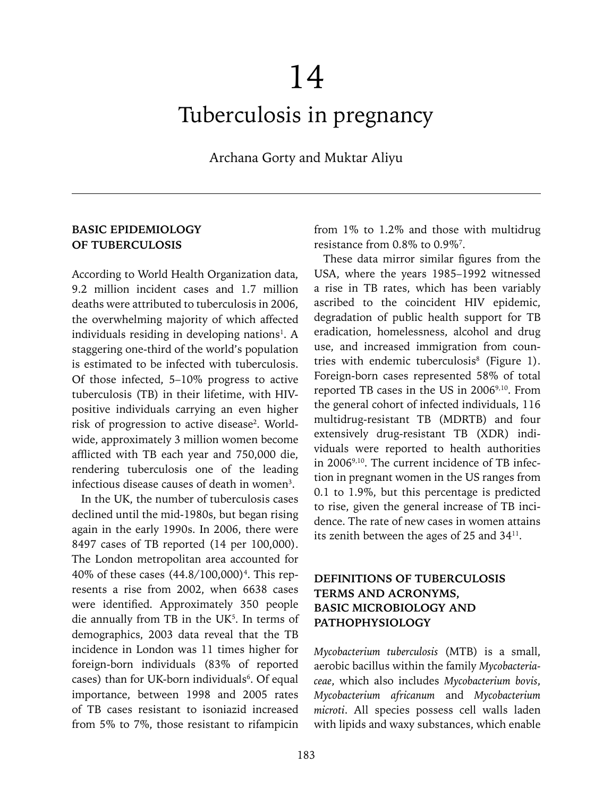# Tuberculosis in pregnancy

Archana Gorty and Muktar Aliyu

## **BASIC EPIDEMIOLOGY OF TUBERCULOSIS**

According to World Health Organization data, 9.2 million incident cases and 1.7 million deaths were attributed to tuberculosis in 2006, the overwhelming majority of which affected individuals residing in developing nations<sup>1</sup>. A staggering one-third of the world's population is estimated to be infected with tuberculosis. Of those infected, 5–10% progress to active tuberculosis (TB) in their lifetime, with HIVpositive individuals carrying an even higher risk of progression to active disease<sup>2</sup>. Worldwide, approximately 3 million women become afflicted with TB each year and 750,000 die, rendering tuberculosis one of the leading infectious disease causes of death in women<sup>3</sup>.

In the UK, the number of tuberculosis cases declined until the mid-1980s, but began rising again in the early 1990s. In 2006, there were 8497 cases of TB reported (14 per 100,000). The London metropolitan area accounted for 40% of these cases (44.8/100,000)<sup>4</sup>. This represents a rise from 2002, when 6638 cases were identified. Approximately 350 people die annually from TB in the UK $5$ . In terms of demographics, 2003 data reveal that the TB incidence in London was 11 times higher for foreign-born individuals (83% of reported cases) than for UK-born individuals $6$ . Of equal importance, between 1998 and 2005 rates of TB cases resistant to isoniazid increased from 5% to 7%, those resistant to rifampicin

from 1% to 1.2% and those with multidrug resistance from 0.8% to 0.9%<sup>7</sup>.

These data mirror similar figures from the USA, where the years 1985–1992 witnessed a rise in TB rates, which has been variably ascribed to the coincident HIV epidemic, degradation of public health support for TB eradication, homelessness, alcohol and drug use, and increased immigration from countries with endemic tuberculosis<sup>8</sup> (Figure 1). Foreign-born cases represented 58% of total reported TB cases in the US in 2006<sup>9,10</sup>. From the general cohort of infected individuals, 116 multidrug-resistant TB (MDRTB) and four extensively drug-resistant TB (XDR) individuals were reported to health authorities in 20069,10. The current incidence of TB infection in pregnant women in the US ranges from 0.1 to 1.9%, but this percentage is predicted to rise, given the general increase of TB incidence. The rate of new cases in women attains its zenith between the ages of 25 and 3411.

## **DEFINITIONS OF TUBERCULOSIS TERMS AND ACRONYMS, BASIC MICROBIOLOGY AND PATHOPHYSIOLOGY**

*Mycobacterium tuberculosis* (MTB) is a small, aerobic bacillus within the family *Mycobacteriaceae*, which also includes *Mycobacterium bovis*, *Mycobacterium africanum* and *Mycobacterium microti*. All species possess cell walls laden with lipids and waxy substances, which enable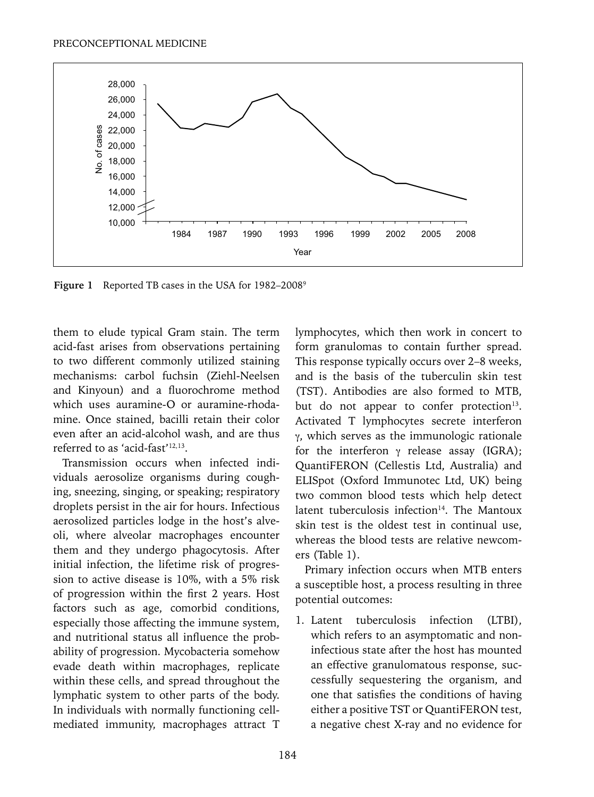

Figure 1 Reported TB cases in the USA for 1982–2008<sup>9</sup>

them to elude typical Gram stain. The term acid-fast arises from observations pertaining to two different commonly utilized staining mechanisms: carbol fuchsin (Ziehl-Neelsen and Kinyoun) and a fluorochrome method which uses auramine-O or auramine-rhodamine. Once stained, bacilli retain their color even after an acid-alcohol wash, and are thus referred to as 'acid-fast'<sup>12,13</sup>.

Transmission occurs when infected individuals aerosolize organisms during coughing, sneezing, singing, or speaking; respiratory droplets persist in the air for hours. Infectious aerosolized particles lodge in the host's alveoli, where alveolar macrophages encounter them and they undergo phagocytosis. After initial infection, the lifetime risk of progression to active disease is 10%, with a 5% risk of progression within the first 2 years. Host factors such as age, comorbid conditions, especially those affecting the immune system, and nutritional status all influence the probability of progression. Mycobacteria somehow evade death within macrophages, replicate within these cells, and spread throughout the lymphatic system to other parts of the body. In individuals with normally functioning cellmediated immunity, macrophages attract T lymphocytes, which then work in concert to form granulomas to contain further spread. This response typically occurs over 2–8 weeks, and is the basis of the tuberculin skin test (TST). Antibodies are also formed to MTB, but do not appear to confer protection<sup>13</sup>. Activated T lymphocytes secrete interferon γ, which serves as the immunologic rationale for the interferon γ release assay (IGRA); QuantiFERON (Cellestis Ltd, Australia) and ELISpot (Oxford Immunotec Ltd, UK) being two common blood tests which help detect latent tuberculosis infection $14$ . The Mantoux skin test is the oldest test in continual use, whereas the blood tests are relative newcomers (Table 1).

Primary infection occurs when MTB enters a susceptible host, a process resulting in three potential outcomes:

1. Latent tuberculosis infection (LTBI), which refers to an asymptomatic and noninfectious state after the host has mounted an effective granulomatous response, successfully sequestering the organism, and one that satisfies the conditions of having either a positive TST or QuantiFERON test, a negative chest X-ray and no evidence for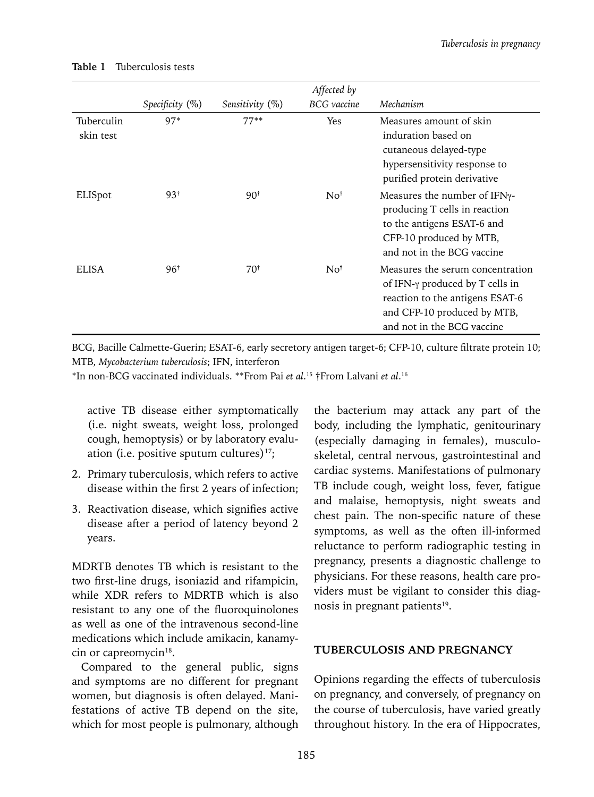|                         | Specificity $(\%)$ | Sensitivity $(\%)$ | Affected by<br><b>BCG</b> vaccine | Mechanism                                                                                                                                                                   |
|-------------------------|--------------------|--------------------|-----------------------------------|-----------------------------------------------------------------------------------------------------------------------------------------------------------------------------|
| Tuberculin<br>skin test | $97*$              | $77***$            | Yes                               | Measures amount of skin<br>induration based on<br>cutaneous delayed-type<br>hypersensitivity response to<br>purified protein derivative                                     |
| ELISpot                 | $93^{\dagger}$     | $90^{\dagger}$     | No <sup>†</sup>                   | Measures the number of $IFN_{\gamma}$ -<br>producing T cells in reaction<br>to the antigens ESAT-6 and<br>CFP-10 produced by MTB,<br>and not in the BCG vaccine             |
| <b>ELISA</b>            | $96^{\dagger}$     | $70^{\dagger}$     | No <sup>†</sup>                   | Measures the serum concentration<br>of IFN- $\gamma$ produced by T cells in<br>reaction to the antigens ESAT-6<br>and CFP-10 produced by MTB,<br>and not in the BCG vaccine |

#### **Table 1** Tuberculosis tests

BCG, Bacille Calmette-Guerin; ESAT-6, early secretory antigen target-6; CFP-10, culture filtrate protein 10; MTB, *Mycobacterium tuberculosis*; IFN, interferon

\*In non-BCG vaccinated individuals. \*\*From Pai *et al*. 15 †From Lalvani *et al*. 16

active TB disease either symptomatically (i.e. night sweats, weight loss, prolonged cough, hemoptysis) or by laboratory evaluation (i.e. positive sputum cultures) $17$ ;

- 2. Primary tuberculosis, which refers to active disease within the first 2 years of infection;
- 3. Reactivation disease, which signifies active disease after a period of latency beyond 2 years.

MDRTB denotes TB which is resistant to the two first-line drugs, isoniazid and rifampicin, while XDR refers to MDRTB which is also resistant to any one of the fluoroquinolones as well as one of the intravenous second-line medications which include amikacin, kanamycin or capreomycin<sup>18</sup>.

Compared to the general public, signs and symptoms are no different for pregnant women, but diagnosis is often delayed. Manifestations of active TB depend on the site, which for most people is pulmonary, although

the bacterium may attack any part of the body, including the lymphatic, genitourinary (especially damaging in females), musculoskeletal, central nervous, gastrointestinal and cardiac systems. Manifestations of pulmonary TB include cough, weight loss, fever, fatigue and malaise, hemoptysis, night sweats and chest pain. The non-specific nature of these symptoms, as well as the often ill-informed reluctance to perform radiographic testing in pregnancy, presents a diagnostic challenge to physicians. For these reasons, health care providers must be vigilant to consider this diagnosis in pregnant patients<sup>19</sup>.

#### **TUBERCULOSIS AND PREGNANCY**

Opinions regarding the effects of tuberculosis on pregnancy, and conversely, of pregnancy on the course of tuberculosis, have varied greatly throughout history. In the era of Hippocrates,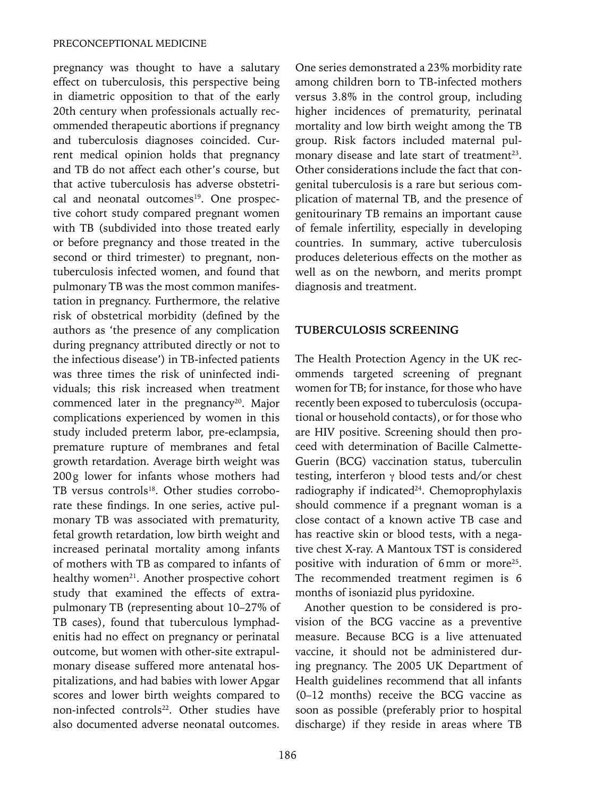pregnancy was thought to have a salutary effect on tuberculosis, this perspective being in diametric opposition to that of the early 20th century when professionals actually recommended therapeutic abortions if pregnancy and tuberculosis diagnoses coincided. Current medical opinion holds that pregnancy and TB do not affect each other's course, but that active tuberculosis has adverse obstetrical and neonatal outcomes<sup>19</sup>. One prospective cohort study compared pregnant women with TB (subdivided into those treated early or before pregnancy and those treated in the second or third trimester) to pregnant, nontuberculosis infected women, and found that pulmonary TB was the most common manifestation in pregnancy. Furthermore, the relative risk of obstetrical morbidity (defined by the authors as 'the presence of any complication during pregnancy attributed directly or not to the infectious disease') in TB-infected patients was three times the risk of uninfected individuals; this risk increased when treatment commenced later in the pregnancy<sup>20</sup>. Major complications experienced by women in this study included preterm labor, pre-eclampsia, premature rupture of membranes and fetal growth retardation. Average birth weight was 200g lower for infants whose mothers had TB versus controls<sup>18</sup>. Other studies corroborate these findings. In one series, active pulmonary TB was associated with prematurity, fetal growth retardation, low birth weight and increased perinatal mortality among infants of mothers with TB as compared to infants of healthy women<sup>21</sup>. Another prospective cohort study that examined the effects of extrapulmonary TB (representing about 10–27% of TB cases), found that tuberculous lymphadenitis had no effect on pregnancy or perinatal outcome, but women with other-site extrapulmonary disease suffered more antenatal hospitalizations, and had babies with lower Apgar scores and lower birth weights compared to non-infected controls<sup>22</sup>. Other studies have also documented adverse neonatal outcomes.

One series demonstrated a 23% morbidity rate among children born to TB-infected mothers versus 3.8% in the control group, including higher incidences of prematurity, perinatal mortality and low birth weight among the TB group. Risk factors included maternal pulmonary disease and late start of treatment<sup>23</sup>. Other considerations include the fact that congenital tuberculosis is a rare but serious complication of maternal TB, and the presence of genitourinary TB remains an important cause of female infertility, especially in developing countries. In summary, active tuberculosis produces deleterious effects on the mother as well as on the newborn, and merits prompt diagnosis and treatment.

#### **TUBERCULOSIS SCREENING**

The Health Protection Agency in the UK recommends targeted screening of pregnant women for TB; for instance, for those who have recently been exposed to tuberculosis (occupational or household contacts), or for those who are HIV positive. Screening should then proceed with determination of Bacille Calmette-Guerin (BCG) vaccination status, tuberculin testing, interferon γ blood tests and/or chest radiography if indicated<sup>24</sup>. Chemoprophylaxis should commence if a pregnant woman is a close contact of a known active TB case and has reactive skin or blood tests, with a negative chest X-ray. A Mantoux TST is considered positive with induration of 6mm or more<sup>25</sup>. The recommended treatment regimen is 6 months of isoniazid plus pyridoxine.

Another question to be considered is provision of the BCG vaccine as a preventive measure. Because BCG is a live attenuated vaccine, it should not be administered during pregnancy. The 2005 UK Department of Health guidelines recommend that all infants (0–12 months) receive the BCG vaccine as soon as possible (preferably prior to hospital discharge) if they reside in areas where TB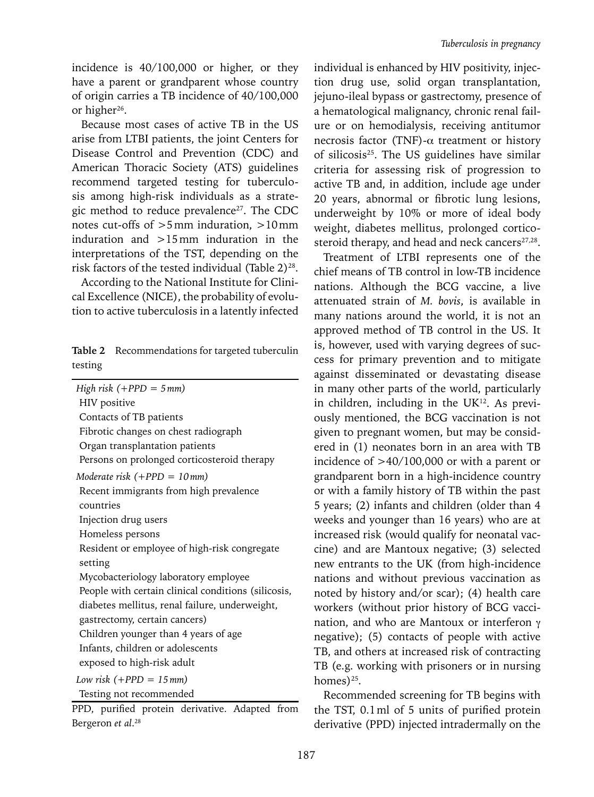incidence is 40/100,000 or higher, or they have a parent or grandparent whose country of origin carries a TB incidence of 40/100,000 or higher<sup>26</sup>.

Because most cases of active TB in the US arise from LTBI patients, the joint Centers for Disease Control and Prevention (CDC) and American Thoracic Society (ATS) guidelines recommend targeted testing for tuberculosis among high-risk individuals as a strategic method to reduce prevalence $27$ . The CDC notes cut-offs of >5mm induration, >10mm induration and >15mm induration in the interpretations of the TST, depending on the risk factors of the tested individual (Table  $2)^{28}$ .

According to the National Institute for Clinical Excellence (NICE), the probability of evolution to active tuberculosis in a latently infected

|         | Table 2 Recommendations for targeted tuberculin |
|---------|-------------------------------------------------|
| testing |                                                 |

| High risk $(+PPD = 5mm)$                            |  |  |  |  |
|-----------------------------------------------------|--|--|--|--|
| HIV positive                                        |  |  |  |  |
| Contacts of TB patients                             |  |  |  |  |
| Fibrotic changes on chest radiograph                |  |  |  |  |
| Organ transplantation patients                      |  |  |  |  |
| Persons on prolonged corticosteroid therapy         |  |  |  |  |
| Moderate risk $(+PPD = 10 \text{mm})$               |  |  |  |  |
| Recent immigrants from high prevalence              |  |  |  |  |
| countries                                           |  |  |  |  |
| Injection drug users                                |  |  |  |  |
| Homeless persons                                    |  |  |  |  |
| Resident or employee of high-risk congregate        |  |  |  |  |
| setting                                             |  |  |  |  |
| Mycobacteriology laboratory employee                |  |  |  |  |
| People with certain clinical conditions (silicosis, |  |  |  |  |
| diabetes mellitus, renal failure, underweight,      |  |  |  |  |
| gastrectomy, certain cancers)                       |  |  |  |  |
| Children younger than 4 years of age                |  |  |  |  |
| Infants, children or adolescents                    |  |  |  |  |
| exposed to high-risk adult                          |  |  |  |  |
| Low risk $(+PPD = 15mm)$                            |  |  |  |  |
| Testing not recommended                             |  |  |  |  |
|                                                     |  |  |  |  |

PPD, purified protein derivative. Adapted from Bergeron *et al*. 28

individual is enhanced by HIV positivity, injection drug use, solid organ transplantation, jejuno-ileal bypass or gastrectomy, presence of a hematological malignancy, chronic renal failure or on hemodialysis, receiving antitumor necrosis factor (TNF)-α treatment or history of silicosis25. The US guidelines have similar criteria for assessing risk of progression to active TB and, in addition, include age under 20 years, abnormal or fibrotic lung lesions, underweight by 10% or more of ideal body weight, diabetes mellitus, prolonged corticosteroid therapy, and head and neck cancers<sup>27,28</sup>.

Treatment of LTBI represents one of the chief means of TB control in low-TB incidence nations. Although the BCG vaccine, a live attenuated strain of *M. bovis*, is available in many nations around the world, it is not an approved method of TB control in the US. It is, however, used with varying degrees of success for primary prevention and to mitigate against disseminated or devastating disease in many other parts of the world, particularly in children, including in the  $UK^{12}$ . As previously mentioned, the BCG vaccination is not given to pregnant women, but may be considered in (1) neonates born in an area with TB incidence of >40/100,000 or with a parent or grandparent born in a high-incidence country or with a family history of TB within the past 5 years; (2) infants and children (older than 4 weeks and younger than 16 years) who are at increased risk (would qualify for neonatal vaccine) and are Mantoux negative; (3) selected new entrants to the UK (from high-incidence nations and without previous vaccination as noted by history and/or scar); (4) health care workers (without prior history of BCG vaccination, and who are Mantoux or interferon γ negative); (5) contacts of people with active TB, and others at increased risk of contracting TB (e.g. working with prisoners or in nursing homes)<sup>25</sup>.

Recommended screening for TB begins with the TST, 0.1ml of 5 units of purified protein derivative (PPD) injected intradermally on the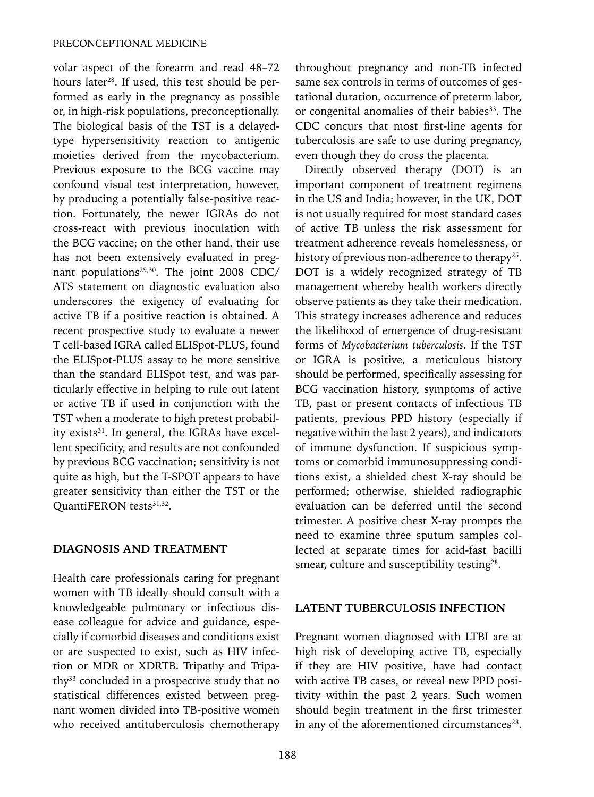volar aspect of the forearm and read 48–72 hours later<sup>28</sup>. If used, this test should be performed as early in the pregnancy as possible or, in high-risk populations, preconceptionally. The biological basis of the TST is a delayedtype hypersensitivity reaction to antigenic moieties derived from the mycobacterium. Previous exposure to the BCG vaccine may confound visual test interpretation, however, by producing a potentially false-positive reaction. Fortunately, the newer IGRAs do not cross-react with previous inoculation with the BCG vaccine; on the other hand, their use has not been extensively evaluated in pregnant populations<sup>29,30</sup>. The joint 2008 CDC/ ATS statement on diagnostic evaluation also underscores the exigency of evaluating for active TB if a positive reaction is obtained. A recent prospective study to evaluate a newer T cell-based IGRA called ELISpot-PLUS, found the ELISpot-PLUS assay to be more sensitive than the standard ELISpot test, and was particularly effective in helping to rule out latent or active TB if used in conjunction with the TST when a moderate to high pretest probability exists<sup>31</sup>. In general, the IGRAs have excellent specificity, and results are not confounded by previous BCG vaccination; sensitivity is not quite as high, but the T-SPOT appears to have greater sensitivity than either the TST or the QuantiFERON tests<sup>31,32</sup>.

#### **DIAGNOSIS AND TREATMENT**

Health care professionals caring for pregnant women with TB ideally should consult with a knowledgeable pulmonary or infectious disease colleague for advice and guidance, especially if comorbid diseases and conditions exist or are suspected to exist, such as HIV infection or MDR or XDRTB. Tripathy and Tripathy<sup>33</sup> concluded in a prospective study that no statistical differences existed between pregnant women divided into TB-positive women who received antituberculosis chemotherapy throughout pregnancy and non-TB infected same sex controls in terms of outcomes of gestational duration, occurrence of preterm labor, or congenital anomalies of their babies<sup>33</sup>. The CDC concurs that most first-line agents for tuberculosis are safe to use during pregnancy, even though they do cross the placenta.

Directly observed therapy (DOT) is an important component of treatment regimens in the US and India; however, in the UK, DOT is not usually required for most standard cases of active TB unless the risk assessment for treatment adherence reveals homelessness, or history of previous non-adherence to therapy<sup>25</sup>. DOT is a widely recognized strategy of TB management whereby health workers directly observe patients as they take their medication. This strategy increases adherence and reduces the likelihood of emergence of drug-resistant forms of *Mycobacterium tuberculosis*. If the TST or IGRA is positive, a meticulous history should be performed, specifically assessing for BCG vaccination history, symptoms of active TB, past or present contacts of infectious TB patients, previous PPD history (especially if negative within the last 2 years), and indicators of immune dysfunction. If suspicious symptoms or comorbid immunosuppressing conditions exist, a shielded chest X-ray should be performed; otherwise, shielded radiographic evaluation can be deferred until the second trimester. A positive chest X-ray prompts the need to examine three sputum samples collected at separate times for acid-fast bacilli smear, culture and susceptibility testing<sup>28</sup>.

## **LATENT TUBERCULOSIS INFECTION**

Pregnant women diagnosed with LTBI are at high risk of developing active TB, especially if they are HIV positive, have had contact with active TB cases, or reveal new PPD positivity within the past 2 years. Such women should begin treatment in the first trimester in any of the aforementioned circumstances<sup>28</sup>.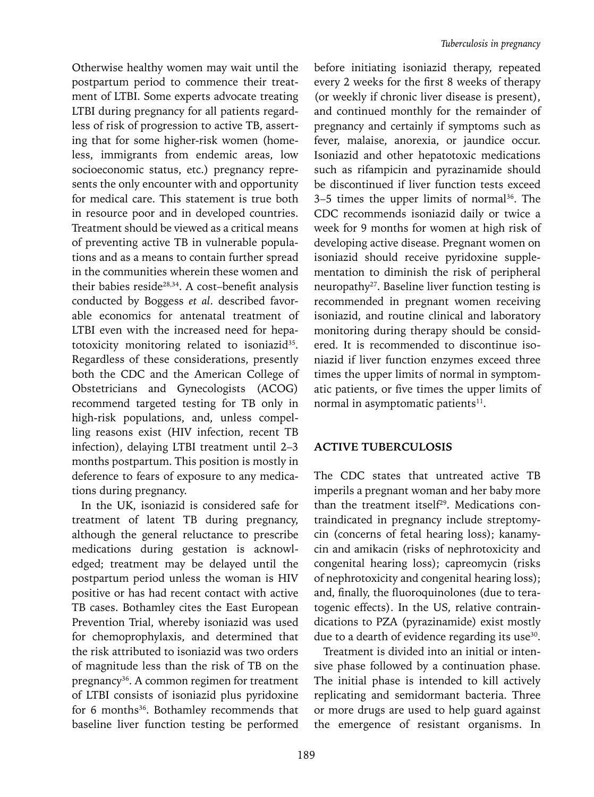Otherwise healthy women may wait until the postpartum period to commence their treatment of LTBI. Some experts advocate treating LTBI during pregnancy for all patients regardless of risk of progression to active TB, asserting that for some higher-risk women (homeless, immigrants from endemic areas, low socioeconomic status, etc.) pregnancy represents the only encounter with and opportunity for medical care. This statement is true both in resource poor and in developed countries. Treatment should be viewed as a critical means of preventing active TB in vulnerable populations and as a means to contain further spread in the communities wherein these women and their babies reside<sup>28,34</sup>. A cost-benefit analysis conducted by Boggess *et al*. described favorable economics for antenatal treatment of LTBI even with the increased need for hepatotoxicity monitoring related to isoniazid<sup>35</sup>. Regardless of these considerations, presently both the CDC and the American College of Obstetricians and Gynecologists (ACOG) recommend targeted testing for TB only in high-risk populations, and, unless compelling reasons exist (HIV infection, recent TB infection), delaying LTBI treatment until 2–3 months postpartum. This position is mostly in deference to fears of exposure to any medications during pregnancy.

In the UK, isoniazid is considered safe for treatment of latent TB during pregnancy, although the general reluctance to prescribe medications during gestation is acknowledged; treatment may be delayed until the postpartum period unless the woman is HIV positive or has had recent contact with active TB cases. Bothamley cites the East European Prevention Trial, whereby isoniazid was used for chemoprophylaxis, and determined that the risk attributed to isoniazid was two orders of magnitude less than the risk of TB on the pregnancy<sup>36</sup>. A common regimen for treatment of LTBI consists of isoniazid plus pyridoxine for 6 months<sup>36</sup>. Bothamley recommends that baseline liver function testing be performed

before initiating isoniazid therapy, repeated every 2 weeks for the first 8 weeks of therapy (or weekly if chronic liver disease is present), and continued monthly for the remainder of pregnancy and certainly if symptoms such as fever, malaise, anorexia, or jaundice occur. Isoniazid and other hepatotoxic medications such as rifampicin and pyrazinamide should be discontinued if liver function tests exceed  $3-5$  times the upper limits of normal<sup>36</sup>. The CDC recommends isoniazid daily or twice a week for 9 months for women at high risk of developing active disease. Pregnant women on isoniazid should receive pyridoxine supplementation to diminish the risk of peripheral neuropathy<sup>27</sup>. Baseline liver function testing is recommended in pregnant women receiving isoniazid, and routine clinical and laboratory monitoring during therapy should be considered. It is recommended to discontinue isoniazid if liver function enzymes exceed three times the upper limits of normal in symptomatic patients, or five times the upper limits of normal in asymptomatic patients<sup>11</sup>.

#### **ACTIVE TUBERCULOSIS**

The CDC states that untreated active TB imperils a pregnant woman and her baby more than the treatment itself<sup>29</sup>. Medications contraindicated in pregnancy include streptomycin (concerns of fetal hearing loss); kanamycin and amikacin (risks of nephrotoxicity and congenital hearing loss); capreomycin (risks of nephrotoxicity and congenital hearing loss); and, finally, the fluoroquinolones (due to teratogenic effects). In the US, relative contraindications to PZA (pyrazinamide) exist mostly due to a dearth of evidence regarding its use<sup>30</sup>.

Treatment is divided into an initial or intensive phase followed by a continuation phase. The initial phase is intended to kill actively replicating and semidormant bacteria. Three or more drugs are used to help guard against the emergence of resistant organisms. In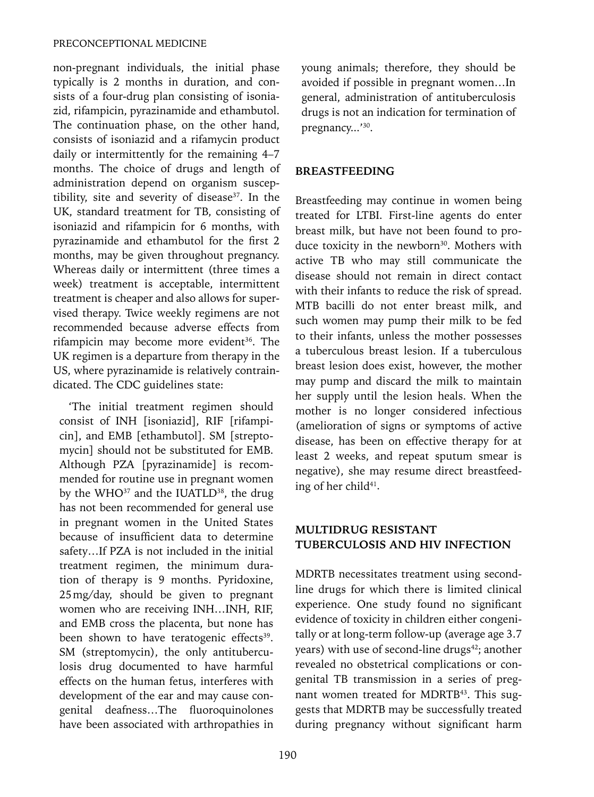non-pregnant individuals, the initial phase typically is 2 months in duration, and consists of a four-drug plan consisting of isoniazid, rifampicin, pyrazinamide and ethambutol. The continuation phase, on the other hand, consists of isoniazid and a rifamycin product daily or intermittently for the remaining 4–7 months. The choice of drugs and length of administration depend on organism susceptibility, site and severity of disease<sup>37</sup>. In the UK, standard treatment for TB, consisting of isoniazid and rifampicin for 6 months, with pyrazinamide and ethambutol for the first 2 months, may be given throughout pregnancy. Whereas daily or intermittent (three times a week) treatment is acceptable, intermittent treatment is cheaper and also allows for supervised therapy. Twice weekly regimens are not recommended because adverse effects from rifampicin may become more evident<sup>36</sup>. The UK regimen is a departure from therapy in the US, where pyrazinamide is relatively contraindicated. The CDC guidelines state:

'The initial treatment regimen should consist of INH [isoniazid], RIF [rifampicin], and EMB [ethambutol]. SM [streptomycin] should not be substituted for EMB. Although PZA [pyrazinamide] is recommended for routine use in pregnant women by the WHO<sup>37</sup> and the IUATLD<sup>38</sup>, the drug has not been recommended for general use in pregnant women in the United States because of insufficient data to determine safety…If PZA is not included in the initial treatment regimen, the minimum duration of therapy is 9 months. Pyridoxine, 25mg/day, should be given to pregnant women who are receiving INH…INH, RIF, and EMB cross the placenta, but none has been shown to have teratogenic effects<sup>39</sup>. SM (streptomycin), the only antituberculosis drug documented to have harmful effects on the human fetus, interferes with development of the ear and may cause congenital deafness…The fluoroquinolones have been associated with arthropathies in

young animals; therefore, they should be avoided if possible in pregnant women…In general, administration of antituberculosis drugs is not an indication for termination of pregnancy...'30.

## **BREASTFEEDING**

Breastfeeding may continue in women being treated for LTBI. First-line agents do enter breast milk, but have not been found to produce toxicity in the newborn<sup>30</sup>. Mothers with active TB who may still communicate the disease should not remain in direct contact with their infants to reduce the risk of spread. MTB bacilli do not enter breast milk, and such women may pump their milk to be fed to their infants, unless the mother possesses a tuberculous breast lesion. If a tuberculous breast lesion does exist, however, the mother may pump and discard the milk to maintain her supply until the lesion heals. When the mother is no longer considered infectious (amelioration of signs or symptoms of active disease, has been on effective therapy for at least 2 weeks, and repeat sputum smear is negative), she may resume direct breastfeeding of her child<sup>41</sup>.

# **MULTIDRUG RESISTANT TUBERCULOSIS AND HIV INFECTION**

MDRTB necessitates treatment using secondline drugs for which there is limited clinical experience. One study found no significant evidence of toxicity in children either congenitally or at long-term follow-up (average age 3.7 years) with use of second-line drugs<sup>42</sup>; another revealed no obstetrical complications or congenital TB transmission in a series of pregnant women treated for MDRTB<sup>43</sup>. This suggests that MDRTB may be successfully treated during pregnancy without significant harm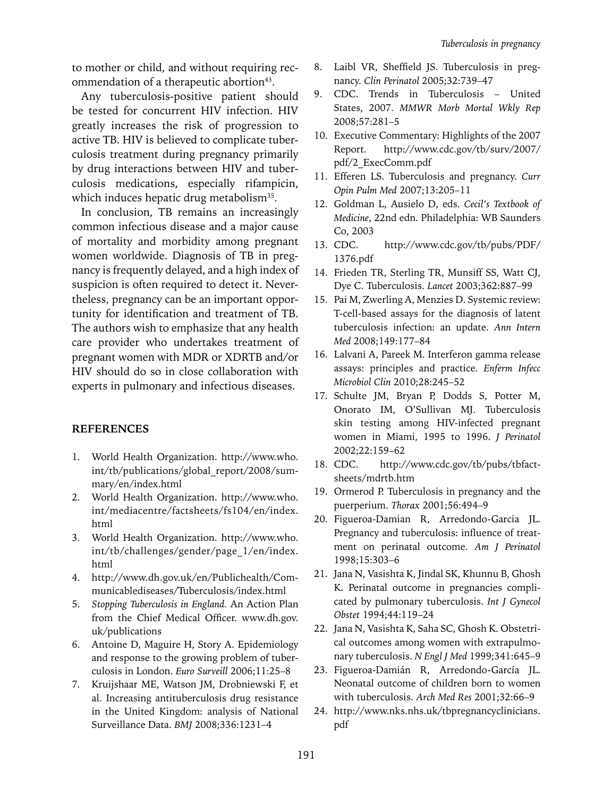to mother or child, and without requiring recommendation of a therapeutic abortion<sup>43</sup>.

Any tuberculosis-positive patient should be tested for concurrent HIV infection. HIV greatly increases the risk of progression to active TB. HIV is believed to complicate tuberculosis treatment during pregnancy primarily by drug interactions between HIV and tuberculosis medications, especially rifampicin, which induces hepatic drug metabolism<sup>35</sup>.

In conclusion, TB remains an increasingly common infectious disease and a major cause of mortality and morbidity among pregnant women worldwide. Diagnosis of TB in pregnancy is frequently delayed, and a high index of suspicion is often required to detect it. Nevertheless, pregnancy can be an important opportunity for identification and treatment of TB. The authors wish to emphasize that any health care provider who undertakes treatment of pregnant women with MDR or XDRTB and/or HIV should do so in close collaboration with experts in pulmonary and infectious diseases.

## **References**

- 1. World Health Organization. http://www.who. int/tb/publications/global\_report/2008/summary/en/index.html
- 2. World Health Organization. http://www.who. int/mediacentre/factsheets/fs104/en/index. html
- 3. World Health Organization. http://www.who. int/tb/challenges/gender/page\_1/en/index. html
- 4. http://www.dh.gov.uk/en/Publichealth/Communicablediseases/Tuberculosis/index.html
- 5. *Stopping Tuberculosis in England.* An Action Plan from the Chief Medical Officer. www.dh.gov. uk/publications
- 6. Antoine D, Maguire H, Story A. Epidemiology and response to the growing problem of tuberculosis in London. *Euro Surveill* 2006;11:25–8
- 7. Kruijshaar ME, Watson JM, Drobniewski F, et al. Increasing antituberculosis drug resistance in the United Kingdom: analysis of National Surveillance Data. *BMJ* 2008;336:1231–4
- 8. Laibl VR, Sheffield JS. Tuberculosis in pregnancy. *Clin Perinatol* 2005;32:739–47
- 9. CDC. Trends in Tuberculosis United States, 2007. *MMWR Morb Mortal Wkly Rep* 2008;57:281–5
- 10. Executive Commentary: Highlights of the 2007 Report. http://www.cdc.gov/tb/surv/2007/ pdf/2\_ExecComm.pdf
- 11. Efferen LS. Tuberculosis and pregnancy. *Curr Opin Pulm Med* 2007;13:205–11
- 12. Goldman L, Ausielo D, eds. *Cecil's Textbook of Medicine*, 22nd edn. Philadelphia: WB Saunders Co, 2003
- 13. CDC. http://www.cdc.gov/tb/pubs/PDF/ 1376.pdf
- 14. Frieden TR, Sterling TR, Munsiff SS, Watt CJ, Dye C. Tuberculosis. *Lancet* 2003;362:887–99
- 15. Pai M, Zwerling A, Menzies D. Systemic review: T-cell-based assays for the diagnosis of latent tuberculosis infection: an update. *Ann Intern Med* 2008;149:177–84
- 16. Lalvani A, Pareek M. Interferon gamma release assays: principles and practice. *Enferm Infecc Microbiol Clin* 2010;28:245–52
- 17. Schulte JM, Bryan P, Dodds S, Potter M, Onorato IM, O'Sullivan MJ. Tuberculosis skin testing among HIV-infected pregnant women in Miami, 1995 to 1996. *J Perinatol*  2002;22:159–62
- 18. CDC. http://www.cdc.gov/tb/pubs/tbfactsheets/mdrtb.htm
- 19. Ormerod P. Tuberculosis in pregnancy and the puerperium. *Thorax* 2001;56:494–9
- 20. Figueroa-Damian R, Arredondo-Garcia JL. Pregnancy and tuberculosis: influence of treatment on perinatal outcome. *Am J Perinatol*  1998;15:303–6
- 21. Jana N, Vasishta K, Jindal SK, Khunnu B, Ghosh K. Perinatal outcome in pregnancies complicated by pulmonary tuberculosis. *Int J Gynecol Obstet* 1994;44:119–24
- 22. Jana N, Vasishta K, Saha SC, Ghosh K. Obstetrical outcomes among women with extrapulmonary tuberculosis. *N Engl J Med* 1999;341:645–9
- 23. Figueroa-Damián R, Arredondo-García JL. Neonatal outcome of children born to women with tuberculosis. *Arch Med Res* 2001;32:66–9
- 24. http://www.nks.nhs.uk/tbpregnancyclinicians. pdf